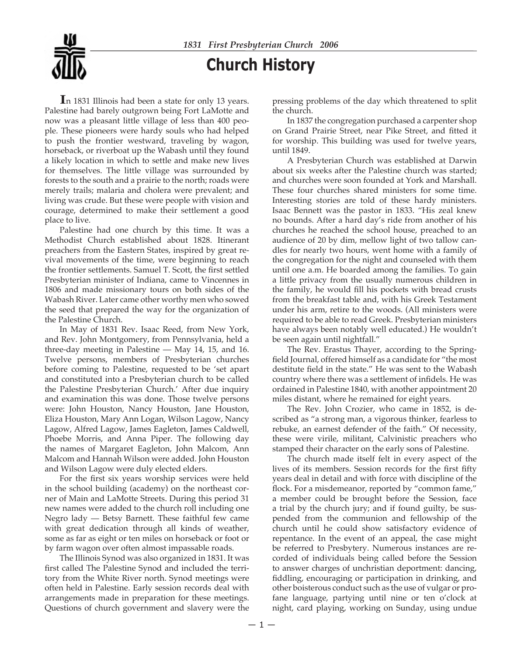# **Church History**

**I**<sup>n</sup> <sup>1831</sup> Illinois had been <sup>a</sup> state for only <sup>13</sup> years. Palestine had barely outgrown being Fort LaMotte and now was a pleasant little village of less than 400 people. These pioneers were hardy souls who had helped to push the frontier westward, traveling by wagon, horseback, or riverboat up the Wabash until they found a likely location in which to settle and make new lives for themselves. The little village was surrounded by forests to the south and a prairie to the north; roads were merely trails; malaria and cholera were prevalent; and living was crude. But these were people with vision and courage, determined to make their settlement a good place to live.

 Palestine had one church by this time. It was a Methodist Church established about 1828. Itinerant preachers from the Eastern States, inspired by great revival movements of the time, were beginning to reach the frontier settlements. Samuel T. Scott, the first settled Presbyterian minister of Indiana, came to Vincennes in 1806 and made missionary tours on both sides of the Wabash River. Later came other worthy men who sowed the seed that prepared the way for the organization of the Palestine Church.

 In May of 1831 Rev. Isaac Reed, from New York, and Rev. John Montgomery, from Pennsylvania, held a three-day meeting in Palestine — May 14, 15, and 16. Twelve persons, members of Presbyterian churches before coming to Palestine, requested to be 'set apart and constituted into a Presbyterian church to be called the Palestine Presbyterian Church.' After due inquiry and examination this was done. Those twelve persons were: John Houston, Nancy Houston, Jane Houston, Eliza Houston, Mary Ann Logan, Wilson Lagow, Nancy Lagow, Alfred Lagow, James Eagleton, James Caldwell, Phoebe Morris, and Anna Piper. The following day the names of Margaret Eagleton, John Malcom, Ann Malcom and Hannah Wilson were added. John Houston and Wilson Lagow were duly elected elders.

For the first six years worship services were held in the school building (academy) on the northeast corner of Main and LaMotte Streets. During this period 31 new names were added to the church roll including one Negro lady — Betsy Barnett. These faithful few came with great dedication through all kinds of weather, some as far as eight or ten miles on horseback or foot or by farm wagon over often almost impassable roads.

 The Illinois Synod was also organized in 1831. It was first called The Palestine Synod and included the territory from the White River north. Synod meetings were often held in Palestine. Early session records deal with arrangements made in preparation for these meetings. Questions of church government and slavery were the

pressing problems of the day which threatened to split the church.

 In 1837 the congregation purchased a carpenter shop on Grand Prairie Street, near Pike Street, and fitted it for worship. This building was used for twelve years, until 1849.

 A Presbyterian Church was established at Darwin about six weeks after the Palestine church was started; and churches were soon founded at York and Marshall. These four churches shared ministers for some time. Interesting stories are told of these hardy ministers. Isaac Bennett was the pastor in 1833. "His zeal knew no bounds. After a hard day's ride from another of his churches he reached the school house, preached to an audience of 20 by dim, mellow light of two tallow candles for nearly two hours, went home with a family of the congregation for the night and counseled with them until one a.m. He boarded among the families. To gain a little privacy from the usually numerous children in the family, he would fill his pockets with bread crusts from the breakfast table and, with his Greek Testament under his arm, retire to the woods. (All ministers were required to be able to read Greek. Presbyterian ministers have always been notably well educated.) He wouldn't be seen again until nightfall."

 The Rev. Erastus Thayer, according to the Springfield Journal, offered himself as a candidate for "the most destitute field in the state." He was sent to the Wabash country where there was a settlement of infidels. He was ordained in Palestine 1840, with another appointment 20 miles distant, where he remained for eight years.

 The Rev. John Crozier, who came in 1852, is described as "a strong man, a vigorous thinker, fearless to rebuke, an earnest defender of the faith." Of necessity, these were virile, militant, Calvinistic preachers who stamped their character on the early sons of Palestine.

 The church made itself felt in every aspect of the lives of its members. Session records for the first fifty years deal in detail and with force with discipline of the flock. For a misdemeanor, reported by "common fame," a member could be brought before the Session, face a trial by the church jury; and if found guilty, be suspended from the communion and fellowship of the church until he could show satisfactory evidence of repentance. In the event of an appeal, the case might be referred to Presbytery. Numerous instances are recorded of individuals being called before the Session to answer charges of unchristian deportment: dancing, fiddling, encouraging or participation in drinking, and other boisterous conduct such as the use of vulgar or profane language, partying until nine or ten o'clock at night, card playing, working on Sunday, using undue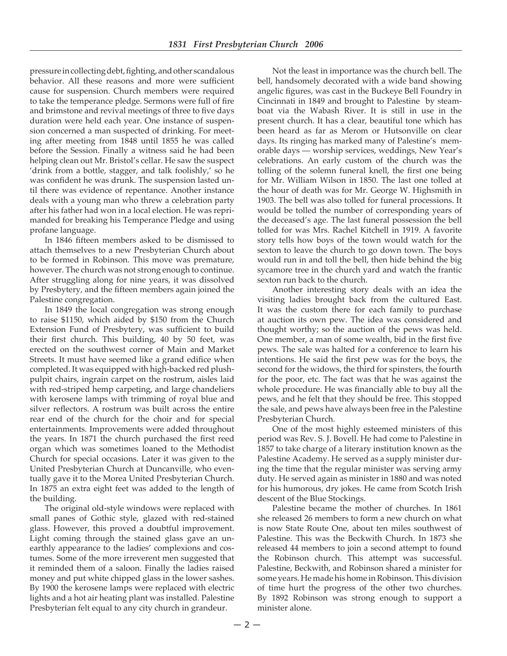pressure in collecting debt, fighting, and other scandalous behavior. All these reasons and more were sufficient cause for suspension. Church members were required to take the temperance pledge. Sermons were full of fire and brimstone and revival meetings of three to five days duration were held each year. One instance of suspension concerned a man suspected of drinking. For meeting after meeting from 1848 until 1855 he was called before the Session. Finally a witness said he had been helping clean out Mr. Bristol's cellar. He saw the suspect 'drink from a bottle, stagger, and talk foolishly,' so he was confident he was drunk. The suspension lasted until there was evidence of repentance. Another instance deals with a young man who threw a celebration party after his father had won in a local election. He was reprimanded for breaking his Temperance Pledge and using profane language.

In 1846 fifteen members asked to be dismissed to attach themselves to a new Presbyterian Church about to be formed in Robinson. This move was premature, however. The church was not strong enough to continue. After struggling along for nine years, it was dissolved by Presbytery, and the fifteen members again joined the Palestine congregation.

 In 1849 the local congregation was strong enough to raise \$1150, which aided by \$150 from the Church Extension Fund of Presbytery, was sufficient to build their first church. This building, 40 by 50 feet, was erected on the southwest corner of Main and Market Streets. It must have seemed like a grand edifice when completed. It was equipped with high-backed red plushpulpit chairs, ingrain carpet on the rostrum, aisles laid with red-striped hemp carpeting, and large chandeliers with kerosene lamps with trimming of royal blue and silver reflectors. A rostrum was built across the entire rear end of the church for the choir and for special entertainments. Improvements were added throughout the years. In 1871 the church purchased the first reed organ which was sometimes loaned to the Methodist Church for special occasions. Later it was given to the United Presbyterian Church at Duncanville, who eventually gave it to the Morea United Presbyterian Church. In 1875 an extra eight feet was added to the length of the building.

 The original old-style windows were replaced with small panes of Gothic style, glazed with red-stained glass. However, this proved a doubtful improvement. Light coming through the stained glass gave an unearthly appearance to the ladies' complexions and costumes. Some of the more irreverent men suggested that it reminded them of a saloon. Finally the ladies raised money and put white chipped glass in the lower sashes. By 1900 the kerosene lamps were replaced with electric lights and a hot air heating plant was installed. Palestine Presbyterian felt equal to any city church in grandeur.

 Not the least in importance was the church bell. The bell, handsomely decorated with a wide band showing angelic figures, was cast in the Buckeye Bell Foundry in Cincinnati in 1849 and brought to Palestine by steamboat via the Wabash River. It is still in use in the present church. It has a clear, beautiful tone which has been heard as far as Merom or Hutsonville on clear days. Its ringing has marked many of Palestine's memorable days — worship services, weddings, New Year's celebrations. An early custom of the church was the tolling of the solemn funeral knell, the first one being for Mr. William Wilson in 1850. The last one tolled at the hour of death was for Mr. George W. Highsmith in 1903. The bell was also tolled for funeral processions. It would be tolled the number of corresponding years of the deceased's age. The last funeral possession the bell tolled for was Mrs. Rachel Kitchell in 1919. A favorite story tells how boys of the town would watch for the sexton to leave the church to go down town. The boys would run in and toll the bell, then hide behind the big sycamore tree in the church yard and watch the frantic sexton run back to the church.

 Another interesting story deals with an idea the visiting ladies brought back from the cultured East. It was the custom there for each family to purchase at auction its own pew. The idea was considered and thought worthy; so the auction of the pews was held. One member, a man of some wealth, bid in the first five pews. The sale was halted for a conference to learn his intentions. He said the first pew was for the boys, the second for the widows, the third for spinsters, the fourth for the poor, etc. The fact was that he was against the whole procedure. He was financially able to buy all the pews, and he felt that they should be free. This stopped the sale, and pews have always been free in the Palestine Presbyterian Church.

 One of the most highly esteemed ministers of this period was Rev. S. J. Bovell. He had come to Palestine in 1857 to take charge of a literary institution known as the Palestine Academy. He served as a supply minister during the time that the regular minister was serving army duty. He served again as minister in 1880 and was noted for his humorous, dry jokes. He came from Scotch Irish descent of the Blue Stockings.

 Palestine became the mother of churches. In 1861 she released 26 members to form a new church on what is now State Route One, about ten miles southwest of Palestine. This was the Beckwith Church. In 1873 she released 44 members to join a second attempt to found the Robinson church. This attempt was successful. Palestine, Beckwith, and Robinson shared a minister for some years. He made his home in Robinson. This division of time hurt the progress of the other two churches. By 1892 Robinson was strong enough to support a minister alone.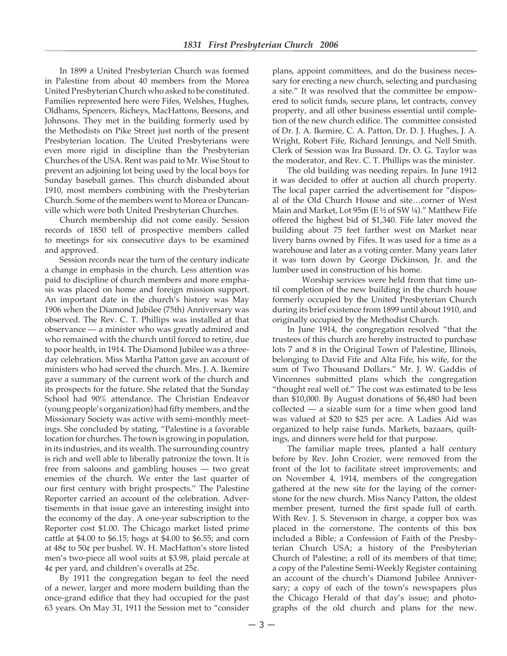In 1899 a United Presbyterian Church was formed in Palestine from about 40 members from the Morea United Presbyterian Church who asked to be constituted. Families represented here were Fifes, Welshes, Hughes, Oldhams, Spencers, Richeys, MacHattons, Beesons, and Johnsons. They met in the building formerly used by the Methodists on Pike Street just north of the present Presbyterian location. The United Presbyterians were even more rigid in discipline than the Presbyterian Churches of the USA. Rent was paid to Mr. Wise Stout to prevent an adjoining lot being used by the local boys for Sunday baseball games. This church disbanded about 1910, most members combining with the Presbyterian Church. Some of the members went to Morea or Duncanville which were both United Presbyterian Churches.

 Church membership did not come easily. Session records of 1850 tell of prospective members called to meetings for six consecutive days to be examined and approved.

 Session records near the turn of the century indicate a change in emphasis in the church. Less attention was paid to discipline of church members and more emphasis was placed on home and foreign mission support. An important date in the church's history was May 1906 when the Diamond Jubilee (75th) Anniversary was observed. The Rev. C. T. Phillips was installed at that observance — a minister who was greatly admired and who remained with the church until forced to retire, due to poor health, in 1914. The Diamond Jubilee was a threeday celebration. Miss Martha Patton gave an account of ministers who had served the church. Mrs. J. A. Ikemire gave a summary of the current work of the church and its prospects for the future. She related that the Sunday School had 90% attendance. The Christian Endeavor (young people's organization) had fifty members, and the Missionary Society was active with semi-monthly meetings. She concluded by stating, "Palestine is a favorable location for churches. The town is growing in population, in its industries, and its wealth. The surrounding country is rich and well able to liberally patronize the town. It is free from saloons and gambling houses — two great enemies of the church. We enter the last quarter of our first century with bright prospects." The Palestine Reporter carried an account of the celebration. Advertisements in that issue gave an interesting insight into the economy of the day. A one-year subscription to the Reporter cost \$1.00. The Chicago market listed prime cattle at \$4.00 to \$6.15; hogs at \$4.00 to \$6.55; and corn at 48¢ to 50¢ per bushel. W. H. MacHatton's store listed men's two-piece all wool suits at \$3.98, plaid percale at 4¢ per yard, and children's overalls at 25¢.

 By 1911 the congregation began to feel the need of a newer, larger and more modern building than the once-grand edifice that they had occupied for the past 63 years. On May 31, 1911 the Session met to "consider plans, appoint committees, and do the business necessary for erecting a new church, selecting and purchasing a site." It was resolved that the committee be empowered to solicit funds, secure plans, let contracts, convey property, and all other business essential until completion of the new church edifice. The committee consisted of Dr. J. A. Ikemire, C. A. Patton, Dr. D. J. Hughes, J. A. Wright, Robert Fife, Richard Jennings, and Nell Smith. Clerk of Session was Ira Bussard. Dr. O. G. Taylor was the moderator, and Rev. C. T. Phillips was the minister.

 The old building was needing repairs. In June 1912 it was decided to offer at auction all church property. The local paper carried the advertisement for "disposal of the Old Church House and site…corner of West Main and Market, Lot 95m (E ½ of SW ¼)." Matthew Fife offered the highest bid of \$1,340. Fife later moved the building about 75 feet farther west on Market near livery barns owned by Fifes. It was used for a time as a warehouse and later as a voting center. Many years later it was torn down by George Dickinson, Jr. and the lumber used in construction of his home.

 Worship services were held from that time until completion of the new building in the church house formerly occupied by the United Presbyterian Church during its brief existence from 1899 until about 1910, and originally occupied by the Methodist Church.

 In June 1914, the congregation resolved "that the trustees of this church are hereby instructed to purchase lots 7 and 8 in the Original Town of Palestine, Illinois, belonging to David Fife and Alta Fife, his wife, for the sum of Two Thousand Dollars." Mr. J. W. Gaddis of Vincennes submitted plans which the congregation "thought real well of." The cost was estimated to be less than \$10,000. By August donations of \$6,480 had been collected — a sizable sum for a time when good land was valued at \$20 to \$25 per acre. A Ladies Aid was organized to help raise funds. Markets, bazaars, quiltings, and dinners were held for that purpose.

 The familiar maple trees, planted a half century before by Rev. John Crozier, were removed from the front of the lot to facilitate street improvements; and on November 4, 1914, members of the congregation gathered at the new site for the laying of the cornerstone for the new church. Miss Nancy Patton, the oldest member present, turned the first spade full of earth. With Rev. J. S. Stevenson in charge, a copper box was placed in the cornerstone. The contents of this box included a Bible; a Confession of Faith of the Presbyterian Church USA; a history of the Presbyterian Church of Palestine; a roll of its members of that time; a copy of the Palestine Semi-Weekly Register containing an account of the church's Diamond Jubilee Anniversary; a copy of each of the town's newspapers plus the Chicago Herald of that day's issue; and photographs of the old church and plans for the new.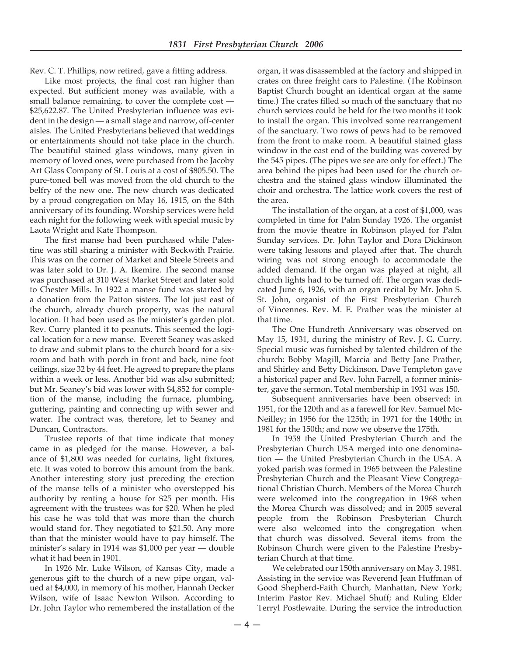Rev. C. T. Phillips, now retired, gave a fitting address.

Like most projects, the final cost ran higher than expected. But sufficient money was available, with a small balance remaining, to cover the complete cost — \$25,622.87. The United Presbyterian influence was evident in the design — a small stage and narrow, off-center aisles. The United Presbyterians believed that weddings or entertainments should not take place in the church. The beautiful stained glass windows, many given in memory of loved ones, were purchased from the Jacoby Art Glass Company of St. Louis at a cost of \$805.50. The pure-toned bell was moved from the old church to the belfry of the new one. The new church was dedicated by a proud congregation on May 16, 1915, on the 84th anniversary of its founding. Worship services were held each night for the following week with special music by Laota Wright and Kate Thompson.

The first manse had been purchased while Palestine was still sharing a minister with Beckwith Prairie. This was on the corner of Market and Steele Streets and was later sold to Dr. J. A. Ikemire. The second manse was purchased at 310 West Market Street and later sold to Chester Mills. In 1922 a manse fund was started by a donation from the Patton sisters. The lot just east of the church, already church property, was the natural location. It had been used as the minister's garden plot. Rev. Curry planted it to peanuts. This seemed the logical location for a new manse. Everett Seaney was asked to draw and submit plans to the church board for a sixroom and bath with porch in front and back, nine foot ceilings, size 32 by 44 feet. He agreed to prepare the plans within a week or less. Another bid was also submitted; but Mr. Seaney's bid was lower with \$4,852 for completion of the manse, including the furnace, plumbing, guttering, painting and connecting up with sewer and water. The contract was, therefore, let to Seaney and Duncan, Contractors.

 Trustee reports of that time indicate that money came in as pledged for the manse. However, a balance of \$1,800 was needed for curtains, light fixtures, etc. It was voted to borrow this amount from the bank. Another interesting story just preceding the erection of the manse tells of a minister who overstepped his authority by renting a house for \$25 per month. His agreement with the trustees was for \$20. When he pled his case he was told that was more than the church would stand for. They negotiated to \$21.50. Any more than that the minister would have to pay himself. The minister's salary in 1914 was \$1,000 per year — double what it had been in 1901.

 In 1926 Mr. Luke Wilson, of Kansas City, made a generous gift to the church of a new pipe organ, valued at \$4,000, in memory of his mother, Hannah Decker Wilson, wife of Isaac Newton Wilson. According to Dr. John Taylor who remembered the installation of the

organ, it was disassembled at the factory and shipped in crates on three freight cars to Palestine. (The Robinson Baptist Church bought an identical organ at the same time.) The crates filled so much of the sanctuary that no church services could be held for the two months it took to install the organ. This involved some rearrangement of the sanctuary. Two rows of pews had to be removed from the front to make room. A beautiful stained glass window in the east end of the building was covered by the 545 pipes. (The pipes we see are only for effect.) The area behind the pipes had been used for the church orchestra and the stained glass window illuminated the choir and orchestra. The lattice work covers the rest of the area.

 The installation of the organ, at a cost of \$1,000, was completed in time for Palm Sunday 1926. The organist from the movie theatre in Robinson played for Palm Sunday services. Dr. John Taylor and Dora Dickinson were taking lessons and played after that. The church wiring was not strong enough to accommodate the added demand. If the organ was played at night, all church lights had to be turned off. The organ was dedicated June 6, 1926, with an organ recital by Mr. John S. St. John, organist of the First Presbyterian Church of Vincennes. Rev. M. E. Prather was the minister at that time.

 The One Hundreth Anniversary was observed on May 15, 1931, during the ministry of Rev. J. G. Curry. Special music was furnished by talented children of the church: Bobby Magill, Marcia and Betty Jane Prather, and Shirley and Betty Dickinson. Dave Templeton gave a historical paper and Rev. John Farrell, a former minister, gave the sermon. Total membership in 1931 was 150.

 Subsequent anniversaries have been observed: in 1951, for the 120th and as a farewell for Rev. Samuel Mc-Neilley; in 1956 for the 125th; in 1971 for the 140th; in 1981 for the 150th; and now we observe the 175th.

 In 1958 the United Presbyterian Church and the Presbyterian Church USA merged into one denomination — the United Presbyterian Church in the USA. A yoked parish was formed in 1965 between the Palestine Presbyterian Church and the Pleasant View Congregational Christian Church. Members of the Morea Church were welcomed into the congregation in 1968 when the Morea Church was dissolved; and in 2005 several people from the Robinson Presbyterian Church were also welcomed into the congregation when that church was dissolved. Several items from the Robinson Church were given to the Palestine Presbyterian Church at that time. 

 We celebrated our 150th anniversary on May 3, 1981. Assisting in the service was Reverend Jean Huffman of Good Shepherd-Faith Church, Manhattan, New York; Interim Pastor Rev. Michael Shuff; and Ruling Elder Terryl Postlewaite. During the service the introduction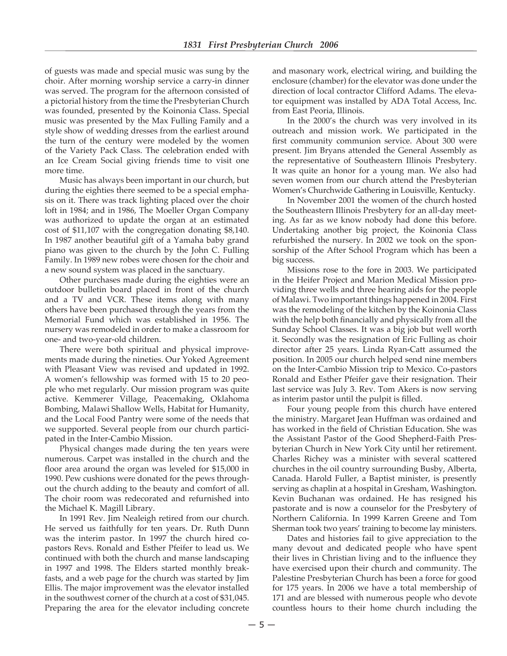of guests was made and special music was sung by the choir. After morning worship service a carry-in dinner was served. The program for the afternoon consisted of a pictorial history from the time the Presbyterian Church was founded, presented by the Koinonia Class. Special music was presented by the Max Fulling Family and a style show of wedding dresses from the earliest around the turn of the century were modeled by the women of the Variety Pack Class. The celebration ended with an Ice Cream Social giving friends time to visit one more time.

 Music has always been important in our church, but during the eighties there seemed to be a special emphasis on it. There was track lighting placed over the choir loft in 1984; and in 1986, The Moeller Organ Company was authorized to update the organ at an estimated cost of \$11,107 with the congregation donating \$8,140. In 1987 another beautiful gift of a Yamaha baby grand piano was given to the church by the John C. Fulling Family. In 1989 new robes were chosen for the choir and a new sound system was placed in the sanctuary.

 Other purchases made during the eighties were an outdoor bulletin board placed in front of the church and a TV and VCR. These items along with many others have been purchased through the years from the Memorial Fund which was established in 1956. The nursery was remodeled in order to make a classroom for one- and two-year-old children.

 There were both spiritual and physical improvements made during the nineties. Our Yoked Agreement with Pleasant View was revised and updated in 1992. A women's fellowship was formed with 15 to 20 people who met regularly. Our mission program was quite active. Kemmerer Village, Peacemaking, Oklahoma Bombing, Malawi Shallow Wells, Habitat for Humanity, and the Local Food Pantry were some of the needs that we supported. Several people from our church participated in the Inter-Cambio Mission.

 Physical changes made during the ten years were numerous. Carpet was installed in the church and the floor area around the organ was leveled for \$15,000 in 1990. Pew cushions were donated for the pews throughout the church adding to the beauty and comfort of all. The choir room was redecorated and refurnished into the Michael K. Magill Library.

 In 1991 Rev. Jim Nealeigh retired from our church. He served us faithfully for ten years. Dr. Ruth Dunn was the interim pastor. In 1997 the church hired copastors Revs. Ronald and Esther Pfeifer to lead us. We continued with both the church and manse landscaping in 1997 and 1998. The Elders started monthly breakfasts, and a web page for the church was started by Jim Ellis. The major improvement was the elevator installed in the southwest corner of the church at a cost of \$31,045. Preparing the area for the elevator including concrete

and masonary work, electrical wiring, and building the enclosure (chamber) for the elevator was done under the direction of local contractor Clifford Adams. The elevator equipment was installed by ADA Total Access, Inc. from East Peoria, Illinois.

 In the 2000's the church was very involved in its outreach and mission work. We participated in the first community communion service. About 300 were present. Jim Bryans attended the General Assembly as the representative of Southeastern Illinois Presbytery. It was quite an honor for a young man. We also had seven women from our church attend the Presbyterian Women's Churchwide Gathering in Louisville, Kentucky.

 In November 2001 the women of the church hosted the Southeastern Illinois Presbytery for an all-day meeting. As far as we know nobody had done this before. Undertaking another big project, the Koinonia Class refurbished the nursery. In 2002 we took on the sponsorship of the After School Program which has been a big success.

 Missions rose to the fore in 2003. We participated in the Heifer Project and Marion Medical Mission providing three wells and three hearing aids for the people of Malawi. Two important things happened in 2004. First was the remodeling of the kitchen by the Koinonia Class with the help both financially and physically from all the Sunday School Classes. It was a big job but well worth it. Secondly was the resignation of Eric Fulling as choir director after 25 years. Linda Ryan-Catt assumed the position. In 2005 our church helped send nine members on the Inter-Cambio Mission trip to Mexico. Co-pastors Ronald and Esther Pfeifer gave their resignation. Their last service was July 3. Rev. Tom Akers is now serving as interim pastor until the pulpit is filled.

 Four young people from this church have entered the ministry. Margaret Jean Huffman was ordained and has worked in the field of Christian Education. She was the Assistant Pastor of the Good Shepherd-Faith Presbyterian Church in New York City until her retirement. Charles Richey was a minister with several scattered churches in the oil country surrounding Busby, Alberta, Canada. Harold Fuller, a Baptist minister, is presently serving as chaplin at a hospital in Gresham, Washington. Kevin Buchanan was ordained. He has resigned his pastorate and is now a counselor for the Presbytery of Northern California. In 1999 Karren Greene and Tom Sherman took two years' training to become lay ministers.

 Dates and histories fail to give appreciation to the many devout and dedicated people who have spent their lives in Christian living and to the influence they have exercised upon their church and community. The Palestine Presbyterian Church has been a force for good for 175 years. In 2006 we have a total membership of 171 and are blessed with numerous people who devote countless hours to their home church including the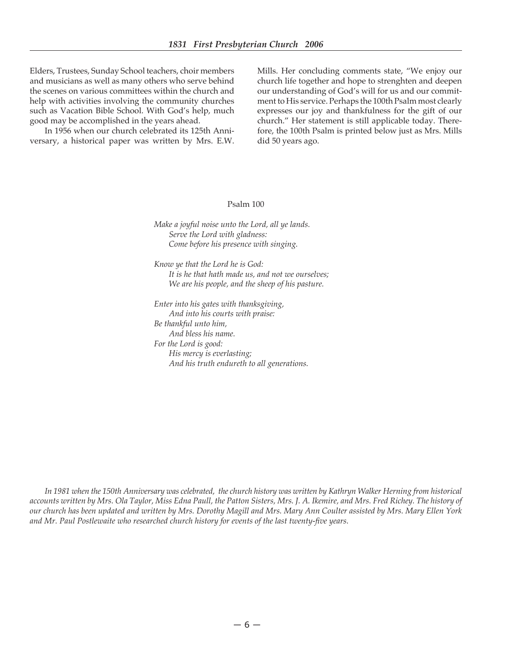Elders, Trustees, Sunday School teachers, choir members and musicians as well as many others who serve behind the scenes on various committees within the church and help with activities involving the community churches such as Vacation Bible School. With God's help, much good may be accomplished in the years ahead.

 In 1956 when our church celebrated its 125th Anniversary, a historical paper was written by Mrs. E.W. Mills. Her concluding comments state, "We enjoy our church life together and hope to strenghten and deepen our understanding of God's will for us and our commitment to His service. Perhaps the 100th Psalm most clearly expresses our joy and thankfulness for the gift of our church." Her statement is still applicable today. Therefore, the 100th Psalm is printed below just as Mrs. Mills did 50 years ago.

#### Psalm 100

*Make a joyful noise unto the Lord, all ye lands. Serve the Lord with gladness: Come before his presence with singing.*

*Know ye that the Lord he is God: It is he that hath made us, and not we ourselves; We are his people, and the sheep of his pasture.*

*Enter into his gates with thanksgiving, And into his courts with praise: Be thankful unto him, And bless his name. For the Lord is good: His mercy is everlasting; And his truth endureth to all generations.*

*In 1981 when the 150th Anniversary was celebrated, the church history was written by Kathryn Walker Herning from historical accounts written by Mrs. Ola Taylor, Miss Edna Paull, the Patton Sisters, Mrs. J. A. Ikemire, and Mrs. Fred Richey. The history of our church has been updated and written by Mrs. Dorothy Magill and Mrs. Mary Ann Coulter assisted by Mrs. Mary Ellen York and Mr. Paul Postlewaite who researched church history for events of the last twenty-five years.*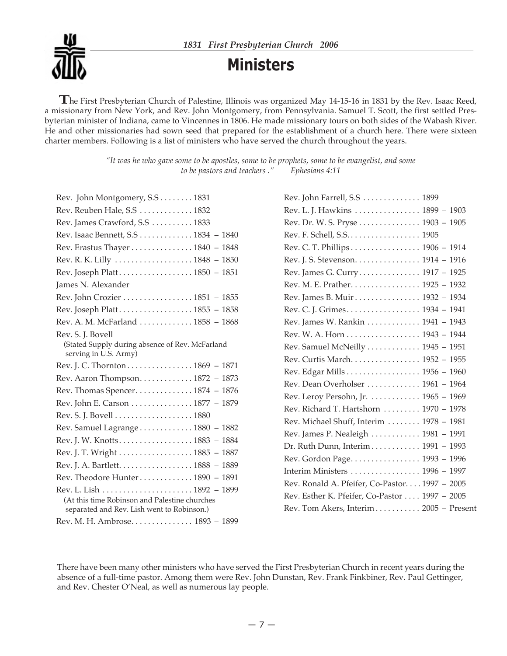

**Ministers**

**T**he First Presbyterian Church of Palestine, Illinois was organized May 14-15-16 in <sup>1831</sup> by the Rev. Isaac Reed, a missionary from New York, and Rev. John Montgomery, from Pennsylvania. Samuel T. Scott, the first settled Presbyterian minister of Indiana, came to Vincennes in 1806. He made missionary tours on both sides of the Wabash River. He and other missionaries had sown seed that prepared for the establishment of a church here. There were sixteen charter members. Following is a list of ministers who have served the church throughout the years.

> *"It was he who gave some to be apostles, some to be prophets, some to be evangelist, and some to be pastors and teachers ." Ephesians 4:11*

| Rev. John Montgomery, S.S.  1831                                                              |
|-----------------------------------------------------------------------------------------------|
| Rev. Reuben Hale, S.S 1832                                                                    |
| Rev. James Crawford, S.S 1833                                                                 |
| Rev. Isaac Bennett, S.S 1834 - 1840                                                           |
| Rev. Erastus Thayer 1840 - 1848                                                               |
|                                                                                               |
| Rev. Joseph Platt 1850 - 1851                                                                 |
| James N. Alexander                                                                            |
| Rev. John Crozier 1851 - 1855                                                                 |
| Rev. Joseph Platt 1855 - 1858                                                                 |
| Rev. A. M. McFarland  1858 - 1868                                                             |
| Rev. S. J. Bovell<br>(Stated Supply during absence of Rev. McFarland<br>serving in U.S. Army) |
| Rev. J. C. Thornton 1869 - 1871                                                               |
| Rev. Aaron Thompson. 1872 - 1873                                                              |
| Rev. Thomas Spencer 1874 - 1876                                                               |
| Rev. John E. Carson 1877 - 1879                                                               |
|                                                                                               |
| Rev. Samuel Lagrange 1880 - 1882                                                              |
| Rev. J. W. Knotts 1883 - 1884                                                                 |
| Rev. J. T. Wright 1885 - 1887                                                                 |
| Rev. J. A. Bartlett. 1888 - 1889                                                              |
| Rev. Theodore Hunter 1890 - 1891                                                              |
|                                                                                               |
| (At this time Robinson and Palestine churches<br>separated and Rev. Lish went to Robinson.)   |
| Rev. M. H. Ambrose 1893 - 1899                                                                |

| Rev. John Farrell, S.S 1899                   |
|-----------------------------------------------|
| Rev. L. J. Hawkins 1899 - 1903                |
| Rev. Dr. W. S. Pryse 1903 - 1905              |
| Rev. F. Schell, S.S. 1905                     |
| Rev. C. T. Phillips 1906 - 1914               |
| Rev. J. S. Stevenson. 1914 - 1916             |
| Rev. James G. Curry 1917 - 1925               |
| Rev. M. E. Prather. 1925 - 1932               |
| Rev. James B. Muir 1932 - 1934                |
| Rev. C. J. Grimes 1934 - 1941                 |
| Rev. James W. Rankin  1941 - 1943             |
| Rev. W. A. Horn 1943 - 1944                   |
| Rev. Samuel McNeilly  1945 - 1951             |
| Rev. Curtis March. 1952 - 1955                |
| Rev. Edgar Mills 1956 - 1960                  |
| Rev. Dean Overholser  1961 - 1964             |
| Rev. Leroy Persohn, Jr. 1965 - 1969           |
| Rev. Richard T. Hartshorn  1970 - 1978        |
| Rev. Michael Shuff, Interim  1978 - 1981      |
| Rev. James P. Nealeigh  1981 - 1991           |
| Dr. Ruth Dunn, Interim 1991 - 1993            |
| Rev. Gordon Page. 1993 - 1996                 |
| Interim Ministers  1996 - 1997                |
| Rev. Ronald A. Pfeifer, Co-Pastor 1997 - 2005 |
| Rev. Esther K. Pfeifer, Co-Pastor 1997 - 2005 |
| Rev. Tom Akers, Interim 2005 - Present        |

There have been many other ministers who have served the First Presbyterian Church in recent years during the absence of a full-time pastor. Among them were Rev. John Dunstan, Rev. Frank Finkbiner, Rev. Paul Gettinger, and Rev. Chester O'Neal, as well as numerous lay people.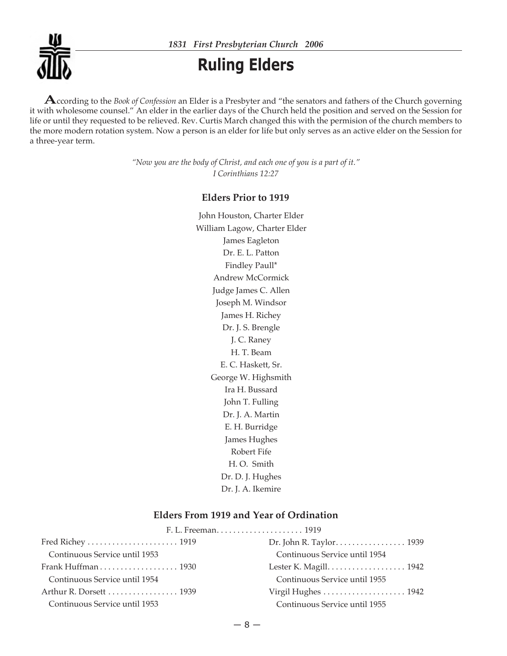

*1831 First Presbyterian Church 2006*

## **Ruling Elders**

**A**ccording to the *Book of Confession* an Elder is <sup>a</sup> Presbyter and "the senators and fathers of the Church governing it with wholesome counsel." An elder in the earlier days of the Church held the position and served on the Session for life or until they requested to be relieved. Rev. Curtis March changed this with the permision of the church members to the more modern rotation system. Now a person is an elder for life but only serves as an active elder on the Session for a three-year term.

> *"Now you are the body of Christ, and each one of you is a part of it." I Corinthians 12:27*

### **Elders Prior to 1919**

John Houston, Charter Elder William Lagow, Charter Elder James Eagleton Dr. E. L. Patton Findley Paull\* Andrew McCormick Judge James C. Allen Joseph M. Windsor James H. Richey Dr. J. S. Brengle J. C. Raney H. T. Beam E. C. Haskett, Sr. George W. Highsmith Ira H. Bussard John T. Fulling Dr. J. A. Martin E. H. Burridge James Hughes Robert Fife H. O. Smith Dr. D. J. Hughes Dr. J. A. Ikemire

### **Elders From 1919 and Year of Ordination**

|                                                                | Dr. John R. Taylor 1939                                      |
|----------------------------------------------------------------|--------------------------------------------------------------|
| Continuous Service until 1953                                  | Continuous Service until 1954                                |
| Frank Huffman $\ldots \ldots \ldots \ldots \ldots \ldots$ 1930 | Lester K. Magill. $\dots \dots \dots \dots \dots \dots 1942$ |
| Continuous Service until 1954                                  | Continuous Service until 1955                                |
| Arthur R. Dorsett 1939                                         | Virgil Hughes  1942                                          |
| Continuous Service until 1953                                  | Continuous Service until 1955                                |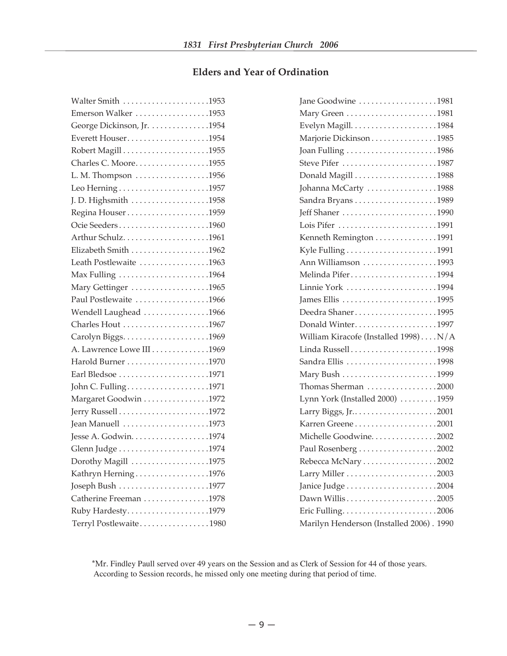### **Elders and Year of Ordination**

| Walter Smith 1953          |
|----------------------------|
| Emerson Walker 1953        |
| George Dickinson, Jr. 1954 |
| Everett Houser1954         |
|                            |
| Charles C. Moore1955       |
| L. M. Thompson 1956        |
|                            |
| J. D. Highsmith 1958       |
| Regina Houser1959          |
| Ocie Seeders1960           |
| Arthur Schulz1961          |
| Elizabeth Smith 1962       |
| Leath Postlewaite 1963     |
| Max Fulling 1964           |
| Mary Gettinger 1965        |
| Paul Postlewaite 1966      |
| Wendell Laughead 1966      |
| Charles Hout 1967          |
|                            |
| A. Lawrence Lowe III 1969  |
| Harold Burner 1970         |
| Earl Bledsoe 1971          |
| John C. Fulling1971        |
| Margaret Goodwin 1972      |
|                            |
| Jean Manuell 1973          |
|                            |
|                            |
| Dorothy Magill 1975        |
| Kathryn Herning1976        |
| Joseph Bush 1977           |
| Catherine Freeman 1978     |
| Ruby Hardesty1979          |
| Terryl Postlewaite1980     |

| Jane Goodwine 1981                       |
|------------------------------------------|
| Mary Green 1981                          |
|                                          |
| Marjorie Dickinson1985                   |
| Joan Fulling 1986                        |
| Steve Pifer 1987                         |
| Donald Magill 1988                       |
| Johanna McCarty 1988                     |
| Sandra Bryans 1989                       |
| Jeff Shaner 1990                         |
| Lois Pifer 1991                          |
| Kenneth Remington 1991                   |
|                                          |
| Ann Williamson 1993                      |
| Melinda Pifer1994                        |
| Linnie York 1994                         |
| James Ellis 1995                         |
| Deedra Shaner1995                        |
| Donald Winter1997                        |
| William Kiracofe (Installed 1998)N/A     |
| Linda Russell1998                        |
| Sandra Ellis 1998                        |
|                                          |
| Thomas Sherman 2000                      |
| Lynn York (Installed 2000) 1959          |
| Larry Biggs, Jr2001                      |
| Karren Greene2001                        |
| Michelle Goodwine. 2002                  |
| Paul Rosenberg 2002                      |
| Rebecca McNary 2002                      |
|                                          |
| Janice Judge 2004                        |
|                                          |
|                                          |
| Marilyn Henderson (Installed 2006). 1990 |

 \*Mr. Findley Paull served over 49 years on the Session and as Clerk of Session for 44 of those years. According to Session records, he missed only one meeting during that period of time.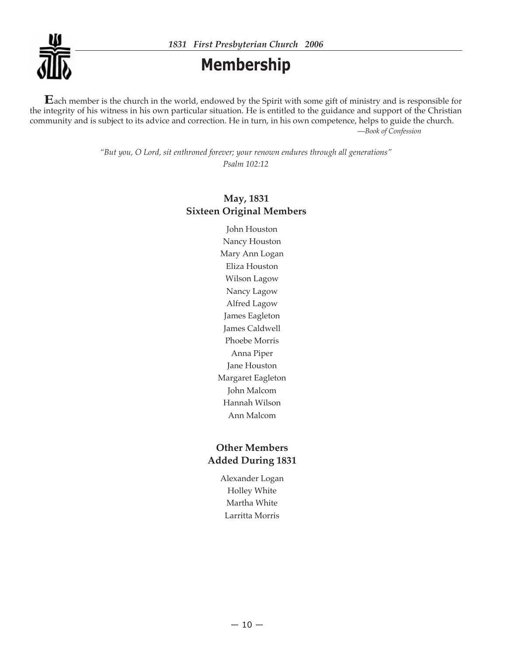

### **Membership**

**E**ach member is the church in the world, endowed by the Spirit with some gift of ministry and is responsible for the integrity of his witness in his own particular situation. He is entitled to the guidance and support of the Christian community and is subject to its advice and correction. He in turn, in his own competence, helps to guide the church. —*Book of Confession*

> *"But you, O Lord, sit enthroned forever; your renown endures through all generations" Psalm 102:12*

### **May, 1831 Sixteen Original Members**

John Houston Nancy Houston Mary Ann Logan Eliza Houston Wilson Lagow Nancy Lagow Alfred Lagow James Eagleton James Caldwell Phoebe Morris Anna Piper Jane Houston Margaret Eagleton John Malcom Hannah Wilson Ann Malcom

### **Other Members Added During 1831**

Alexander Logan Holley White Martha White Larritta Morris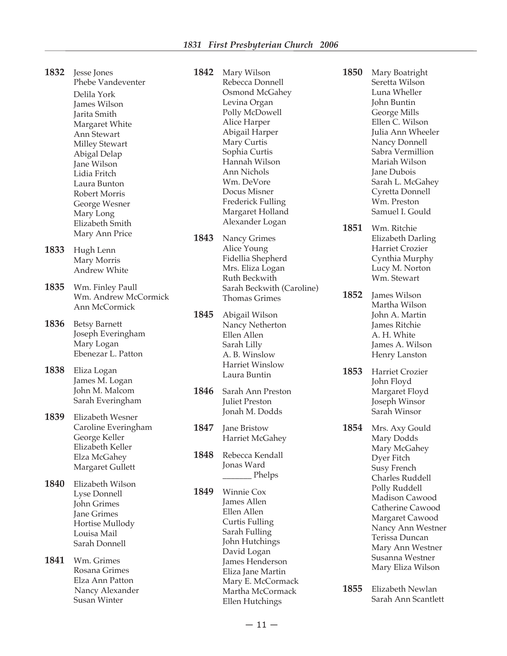| 1832 | Jesse Jones<br>Phebe Vandeventer<br>Delila York<br>James Wilson<br>Jarita Smith<br>Margaret White<br>Ann Stewart<br><b>Milley Stewart</b><br>Abigal Delap<br>Jane Wilson<br>Lidia Fritch<br>Laura Bunton<br>Robert Morris<br>George Wesner<br>Mary Long<br>Elizabeth Smith | 1842         | Mary Wilson<br>Rebecca Donnell<br>Osmond McGahey<br>Levina Organ<br>Polly McDowell<br>Alice Harper<br>Abigail Harper<br>Mary Curtis<br>Sophia Curtis<br>Hannah Wilson<br>Ann Nichols<br>Wm. DeVore<br>Docus Misner<br><b>Frederick Fulling</b><br>Margaret Holland<br>Alexander Logan | 1850 | Mary Boatright<br>Seretta Wilson<br>Luna Wheller<br>John Buntin<br>George Mills<br>Ellen C. Wilson<br>Julia Ann Wheeler<br>Nancy Donnell<br>Sabra Vermillion<br>Mariah Wilson<br>Jane Dubois<br>Sarah L. McGahey<br>Cyretta Donnell<br>Wm. Preston<br>Samuel I. Gould |
|------|----------------------------------------------------------------------------------------------------------------------------------------------------------------------------------------------------------------------------------------------------------------------------|--------------|---------------------------------------------------------------------------------------------------------------------------------------------------------------------------------------------------------------------------------------------------------------------------------------|------|-----------------------------------------------------------------------------------------------------------------------------------------------------------------------------------------------------------------------------------------------------------------------|
|      | Mary Ann Price                                                                                                                                                                                                                                                             |              |                                                                                                                                                                                                                                                                                       | 1851 | Wm. Ritchie                                                                                                                                                                                                                                                           |
| 1833 | Hugh Lenn<br>Mary Morris<br>Andrew White                                                                                                                                                                                                                                   | 1843         | Nancy Grimes<br>Alice Young<br>Fidellia Shepherd<br>Mrs. Eliza Logan<br>Ruth Beckwith                                                                                                                                                                                                 |      | Elizabeth Darling<br>Harriet Crozier<br>Cynthia Murphy<br>Lucy M. Norton<br>Wm. Stewart                                                                                                                                                                               |
| 1835 | Wm. Finley Paull<br>Wm. Andrew McCormick<br>Ann McCormick                                                                                                                                                                                                                  | 1845         | Sarah Beckwith (Caroline)<br><b>Thomas Grimes</b><br>Abigail Wilson                                                                                                                                                                                                                   | 1852 | James Wilson<br>Martha Wilson<br>John A. Martin                                                                                                                                                                                                                       |
| 1836 | <b>Betsy Barnett</b><br>Joseph Everingham<br>Mary Logan<br>Ebenezar L. Patton                                                                                                                                                                                              |              | Nancy Netherton<br>Ellen Allen<br>Sarah Lilly<br>A. B. Winslow                                                                                                                                                                                                                        |      | James Ritchie<br>A. H. White<br>James A. Wilson<br>Henry Lanston                                                                                                                                                                                                      |
| 1838 | Eliza Logan<br>James M. Logan<br>John M. Malcom<br>Sarah Everingham                                                                                                                                                                                                        | 1846         | <b>Harriet Winslow</b><br>Laura Buntin<br>Sarah Ann Preston<br><b>Juliet Preston</b>                                                                                                                                                                                                  | 1853 | Harriet Crozier<br>John Floyd<br>Margaret Floyd<br>Joseph Winsor                                                                                                                                                                                                      |
| 1839 | Elizabeth Wesner                                                                                                                                                                                                                                                           |              | Jonah M. Dodds                                                                                                                                                                                                                                                                        |      | Sarah Winsor                                                                                                                                                                                                                                                          |
|      | Caroline Everingham<br>George Keller<br>Elizabeth Keller<br>Elza McGahey<br>Margaret Gullett                                                                                                                                                                               | 1847<br>1848 | Jane Bristow<br>Harriet McGahey<br>Rebecca Kendall<br>Jonas Ward<br>_ Phelps                                                                                                                                                                                                          | 1854 | Mrs. Axy Gould<br>Mary Dodds<br>Mary McGahey<br>Dyer Fitch<br>Susy French<br>Charles Ruddell                                                                                                                                                                          |
| 1840 | Elizabeth Wilson<br>Lyse Donnell<br>John Grimes<br><b>Jane Grimes</b><br>Hortise Mullody<br>Louisa Mail<br>Sarah Donnell                                                                                                                                                   | 1849         | <b>Winnie Cox</b><br>James Allen<br>Ellen Allen<br><b>Curtis Fulling</b><br>Sarah Fulling<br>John Hutchings<br>David Logan                                                                                                                                                            |      | Polly Ruddell<br>Madison Cawood<br>Catherine Cawood<br>Margaret Cawood<br>Nancy Ann Westner<br>Terissa Duncan<br>Mary Ann Westner                                                                                                                                     |
| 1841 | Wm. Grimes<br>Rosana Grimes<br>Elza Ann Patton<br>Nancy Alexander<br><b>Susan Winter</b>                                                                                                                                                                                   |              | James Henderson<br>Eliza Jane Martin<br>Mary E. McCormack<br>Martha McCormack<br>Ellen Hutchings                                                                                                                                                                                      | 1855 | Susanna Westner<br>Mary Eliza Wilson<br>Elizabeth Newlan<br>Sarah Ann Scantlett                                                                                                                                                                                       |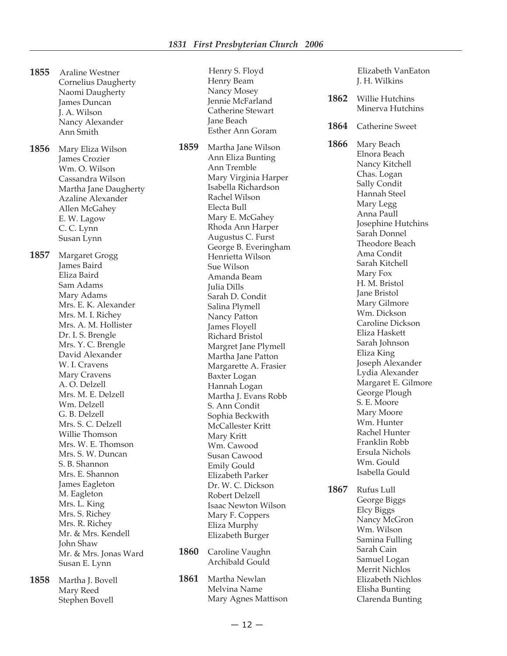- **1855** Araline Westner Cornelius Daugherty Naomi Daugherty James Duncan J. A. Wilson Nancy Alexander Ann Smith **1856** Mary Eliza Wilson James Crozier Wm. O. Wilson Cassandra Wilson Martha Jane Daugherty Azaline Alexander Allen McGahey E. W. Lagow C. C. Lynn Susan Lynn **1857** Margaret Grogg James Baird Eliza Baird Sam Adams Mary Adams Mrs. E. K. Alexander Mrs. M. I. Richey Mrs. A. M. Hollister Dr. I. S. Brengle Mrs. Y. C. Brengle David Alexander W. I. Cravens Mary Cravens A. O. Delzell Mrs. M. E. Delzell Wm. Delzell G. B. Delzell Mrs. S. C. Delzell Willie Thomson Mrs. W. E. Thomson Mrs. S. W. Duncan S. B. Shannon Mrs. E. Shannon James Eagleton M. Eagleton Mrs. L. King Mrs. S. Richey Mrs. R. Richey Mr. & Mrs. Kendell John Shaw Mr. & Mrs. Jonas Ward Susan E. Lynn **1858** Martha J. Bovell
	- Mary Reed Stephen Bovell

 Henry S. Floyd Henry Beam Nancy Mosey Jennie McFarland Catherine Stewart Jane Beach Esther Ann Goram **1859** Martha Jane Wilson Ann Eliza Bunting Ann Tremble Mary Virginia Harper Isabella Richardson Rachel Wilson Electa Bull Mary E. McGahey Rhoda Ann Harper Augustus C. Furst George B. Everingham Henrietta Wilson Sue Wilson Amanda Beam Julia Dills Sarah D. Condit Salina Plymell Nancy Patton James Floyell Richard Bristol Margret Jane Plymell Martha Jane Patton Margarette A. Frasier Baxter Logan Hannah Logan Martha J. Evans Robb S. Ann Condit Sophia Beckwith McCallester Kritt Mary Kritt Wm. Cawood Susan Cawood Emily Gould Elizabeth Parker Dr. W. C. Dickson Robert Delzell Isaac Newton Wilson Mary F. Coppers Eliza Murphy Elizabeth Burger **1860** Caroline Vaughn Archibald Gould

**1861** Martha Newlan Melvina Name Mary Agnes Mattison

 Elizabeth VanEaton J. H. Wilkins

- **1862** Willie Hutchins Minerva Hutchins
- **1864** Catherine Sweet

**1866** Mary Beach Elnora Beach Nancy Kitchell Chas. Logan Sally Condit Hannah Steel Mary Legg Anna Paull Josephine Hutchins Sarah Donnel Theodore Beach Ama Condit Sarah Kitchell Mary Fox H. M. Bristol Jane Bristol Mary Gilmore Wm. Dickson Caroline Dickson Eliza Haskett Sarah Johnson Eliza King Joseph Alexander Lydia Alexander Margaret E. Gilmore George Plough S. E. Moore Mary Moore Wm. Hunter Rachel Hunter Franklin Robb Ersula Nichols Wm. Gould Isabella Gould

**1867** Rufus Lull George Biggs Elcy Biggs Nancy McGron Wm. Wilson Samina Fulling Sarah Cain Samuel Logan Merrit Nichlos Elizabeth Nichlos Elisha Bunting Clarenda Bunting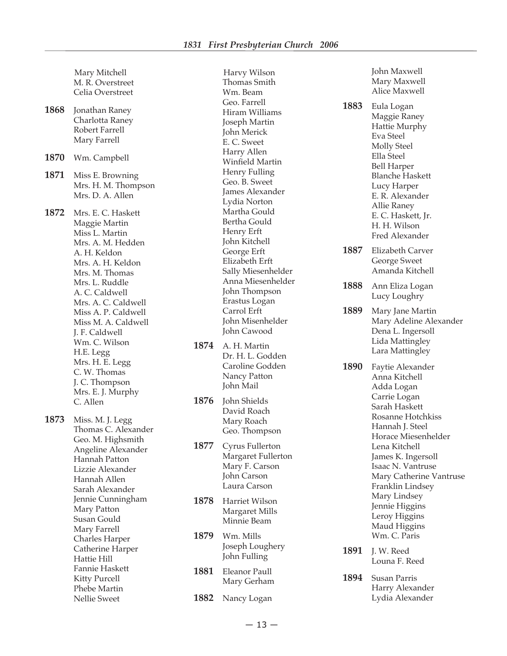Harvy Wilson

|      | Mary Mitchell<br>M. R. Overstreet<br>Celia Overstreet                                                                                                                                                                                                                                                                                                                            |
|------|----------------------------------------------------------------------------------------------------------------------------------------------------------------------------------------------------------------------------------------------------------------------------------------------------------------------------------------------------------------------------------|
| 1868 | Jonathan Raney<br>Charlotta Raney<br>Robert Farrell<br>Mary Farrell                                                                                                                                                                                                                                                                                                              |
| 1870 | Wm. Campbell                                                                                                                                                                                                                                                                                                                                                                     |
| 1871 | Miss E. Browning<br>Mrs. H. M. Thompson<br>Mrs. D. A. Allen                                                                                                                                                                                                                                                                                                                      |
| 1872 | Mrs. E. C. Haskett<br>Maggie Martin<br>Miss L. Martin<br>Mrs. A. M. Hedden<br>A. H. Keldon<br>Mrs. A. H. Keldon<br>Mrs. M. Thomas<br>Mrs. L. Ruddle<br>A. C. Caldwell<br>Mrs. A. C. Caldwell<br>Miss A. P. Caldwell<br>Miss M. A. Caldwell<br>J. F. Caldwell<br>Wm. C. Wilson<br>H.E. Legg<br>Mrs. H. E. Legg<br>C. W. Thomas<br>J. C. Thompson<br>Mrs. E. J. Murphy<br>C. Allen |
| 1873 | Miss. M. J. Legg<br>Thomas C. Alexander<br>Geo. M. Highsmith<br>Angeline Alexander<br>Hannah Patton<br>Lizzie Alexander<br>Hannah Allen<br>Sarah Alexander<br>Jennie Cunningham<br>Mary Patton<br>Susan Gould<br>Mary Farrell<br><b>Charles Harper</b><br>Catherine Harper<br>Hattie Hill<br>Fannie Haskett<br><b>Kitty Purcell</b><br>Phebe Martin<br><b>Nellie Sweet</b>       |

 Thomas Smith Wm. Beam Geo. Farrell Hiram Williams Joseph Martin John Merick E. C. Sweet Harry Allen Winfield Martin Henry Fulling Geo. B. Sweet James Alexander Lydia Norton Martha Gould Bertha Gould Henry Erft John Kitchell George Erft Elizabeth Erft Sally Miesenhelder Anna Miesenhelder John Thompson Erastus Logan Carrol Erft John Misenhelder John Cawood

- **1874** A. H. Martin Dr. H. L. Godden Caroline Godden Nancy Patton John Mail
- **1876** John Shields David Roach Mary Roach Geo. Thompson

**1877** Cyrus Fullerton Margaret Fullerton Mary F. Carson John Carson Laura Carson

**1878** Harriet Wilson Margaret Mills Minnie Beam

- **1879** Wm. Mills Joseph Loughery John Fulling
- **1881** Eleanor Paull Mary Gerham
- **1882** Nancy Logan

**1883** Eula Logan Maggie Raney Hattie Murphy Eva Steel Molly Steel Ella Steel Bell Harper Blanche Haskett Lucy Harper E. R. Alexander Allie Raney E. C. Haskett, Jr. H. H. Wilson Fred Alexander

- **1887** Elizabeth Carver George Sweet Amanda Kitchell
- **1888** Ann Eliza Logan Lucy Loughry

**1889** Mary Jane Martin Mary Adeline Alexander Dena L. Ingersoll Lida Mattingley Lara Mattingley

- **1890** Faytie Alexander Anna Kitchell Adda Logan Carrie Logan Sarah Haskett Rosanne Hotchkiss Hannah J. Steel Horace Miesenhelder Lena Kitchell James K. Ingersoll Isaac N. Vantruse Mary Catherine Vantruse Franklin Lindsey Mary Lindsey Jennie Higgins Leroy Higgins Maud Higgins Wm. C. Paris
- **1891** J. W. Reed Louna F. Reed
- **1894** Susan Parris Harry Alexander Lydia Alexander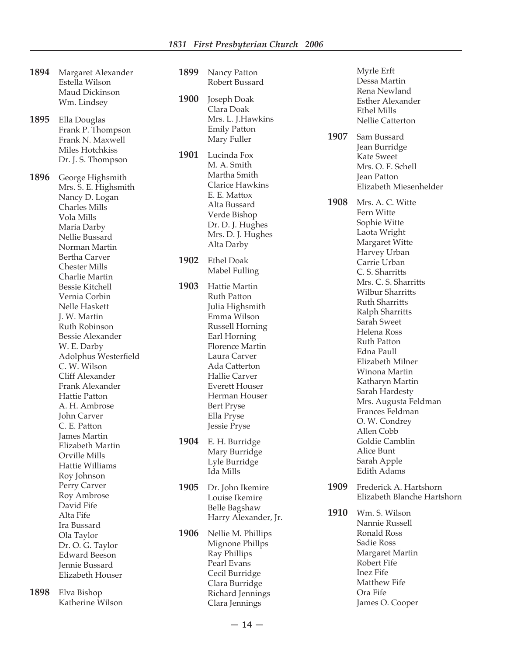- **1894** Margaret Alexander Estella Wilson Maud Dickinson Wm. Lindsey
- **1895** Ella Douglas Frank P. Thompson Frank N. Maxwell Miles Hotchkiss Dr. J. S. Thompson

**1896** George Highsmith Mrs. S. E. Highsmith Nancy D. Logan Charles Mills Vola Mills Maria Darby Nellie Bussard Norman Martin Bertha Carver Chester Mills Charlie Martin Bessie Kitchell Vernia Corbin Nelle Haskett J. W. Martin Ruth Robinson Bessie Alexander W. E. Darby Adolphus Westerfield C. W. Wilson Cliff Alexander Frank Alexander Hattie Patton A. H. Ambrose John Carver C. E. Patton James Martin Elizabeth Martin Orville Mills Hattie Williams Roy Johnson Perry Carver Roy Ambrose David Fife Alta Fife Ira Bussard Ola Taylor Dr. O. G. Taylor Edward Beeson Jennie Bussard Elizabeth Houser

**1898** Elva Bishop Katherine Wilson

- **1899** Nancy Patton Robert Bussard **1900** Joseph Doak Clara Doak Mrs. L. J.Hawkins Emily Patton Mary Fuller **1901** Lucinda Fox M. A. Smith Martha Smith Clarice Hawkins E. E. Mattox Alta Bussard Verde Bishop Dr. D. J. Hughes Mrs. D. J. Hughes Alta Darby **1902** Ethel Doak Mabel Fulling **1903** Hattie Martin Ruth Patton Julia Highsmith Emma Wilson Russell Horning Earl Horning Florence Martin Laura Carver Ada Catterton Hallie Carver Everett Houser Herman Houser Bert Pryse Ella Pryse Jessie Pryse **1904** E. H. Burridge Mary Burridge Lyle Burridge Ida Mills **1905** Dr. John Ikemire Louise Ikemire Belle Bagshaw Harry Alexander, Jr. **1906** Nellie M. Phillips Mignone Phillps
	- Ray Phillips Pearl Evans Cecil Burridge Clara Burridge Richard Jennings Clara Jennings

 Myrle Erft Dessa Martin Rena Newland Esther Alexander Ethel Mills Nellie Catterton

**1907** Sam Bussard Jean Burridge Kate Sweet Mrs. O. F. Schell Jean Patton Elizabeth Miesenhelder

**1908** Mrs. A. C. Witte Fern Witte Sophie Witte Laota Wright Margaret Witte Harvey Urban Carrie Urban C. S. Sharritts Mrs. C. S. Sharritts Wilbur Sharritts Ruth Sharritts Ralph Sharritts Sarah Sweet Helena Ross Ruth Patton Edna Paull Elizabeth Milner Winona Martin Katharyn Martin Sarah Hardesty Mrs. Augusta Feldman Frances Feldman O. W. Condrey Allen Cobb Goldie Camblin Alice Bunt Sarah Apple Edith Adams

- **1909** Frederick A. Hartshorn Elizabeth Blanche Hartshorn
- **1910** Wm. S. Wilson Nannie Russell Ronald Ross Sadie Ross Margaret Martin Robert Fife Inez Fife Matthew Fife Ora Fife James O. Cooper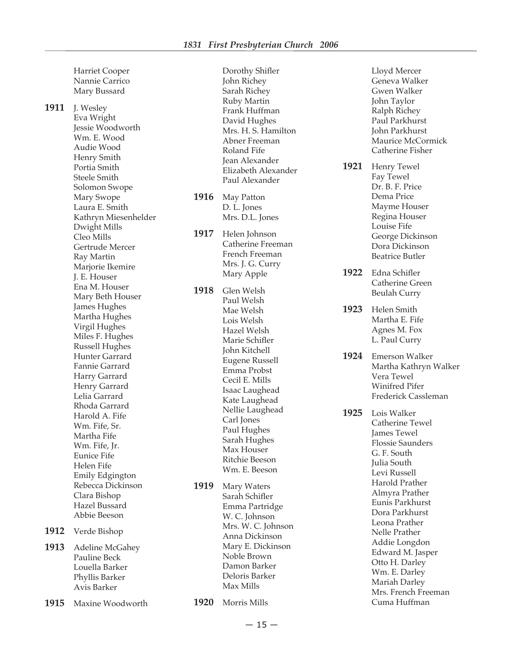Harriet Cooper Nannie Carrico Mary Bussard

**1911** J. Wesley Eva Wright Jessie Woodworth Wm. E. Wood Audie Wood Henry Smith Portia Smith Steele Smith Solomon Swope Mary Swope Laura E. Smith Kathryn Miesenhelder Dwight Mills Cleo Mills Gertrude Mercer Ray Martin Marjorie Ikemire J. E. Houser Ena M. Houser Mary Beth Houser James Hughes Martha Hughes Virgil Hughes Miles F. Hughes Russell Hughes Hunter Garrard Fannie Garrard Harry Garrard Henry Garrard Lelia Garrard Rhoda Garrard Harold A. Fife Wm. Fife, Sr. Martha Fife Wm. Fife, Jr. Eunice Fife Helen Fife Emily Edgington Rebecca Dickinson Clara Bishop Hazel Bussard Abbie Beeson **1912** Verde Bishop

**1913** Adeline McGahey Pauline Beck Louella Barker Phyllis Barker Avis Barker

**1915** Maxine Woodworth

Dorothy Shifler John Richey Sarah Richey Ruby Martin Frank Huffman David Hughes Mrs. H. S. Hamilton Abner Freeman Roland Fife Jean Alexander Elizabeth Alexander Paul Alexander

- **1916** May Patton D. L. Jones Mrs. D.L. Jones
- **1917** Helen Johnson Catherine Freeman French Freeman Mrs. J. G. Curry Mary Apple
- **1918** Glen Welsh Paul Welsh Mae Welsh Lois Welsh Hazel Welsh Marie Schifler John Kitchell Eugene Russell Emma Probst Cecil E. Mills Isaac Laughead Kate Laughead Nellie Laughead Carl Jones Paul Hughes Sarah Hughes Max Houser Ritchie Beeson Wm. E. Beeson
- **1919** Mary Waters Sarah Schifler Emma Partridge W. C. Johnson Mrs. W. C. Johnson Anna Dickinson Mary E. Dickinson Noble Brown Damon Barker Deloris Barker Max Mills
- **1920** Morris Mills

 Lloyd Mercer Geneva Walker Gwen Walker John Taylor Ralph Richey Paul Parkhurst John Parkhurst Maurice McCormick Catherine Fisher **1921** Henry Tewel Fay Tewel Dr. B. F. Price Dema Price Mayme Houser Regina Houser Louise Fife George Dickinson Dora Dickinson Beatrice Butler **1922** Edna Schifler Catherine Green Beulah Curry **1923** Helen Smith Martha E. Fife Agnes M. Fox L. Paul Curry **1924** Emerson Walker Martha Kathryn Walker Vera Tewel Winifred Pifer Frederick Cassleman **1925** Lois Walker Catherine Tewel James Tewel Flossie Saunders G. F. South Julia South Levi Russell Harold Prather Almyra Prather Eunis Parkhurst Dora Parkhurst Leona Prather Nelle Prather Addie Longdon Edward M. Jasper

 Otto H. Darley Wm. E. Darley Mariah Darley Mrs. French Freeman Cuma Huffman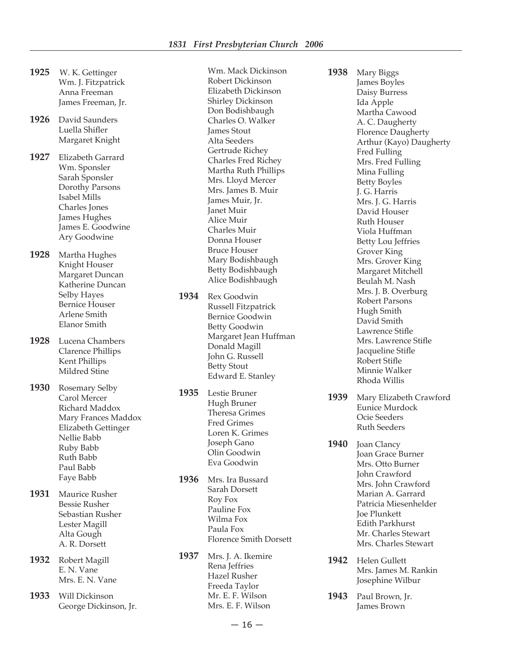- **1925** W. K. Gettinger Wm. J. Fitzpatrick Anna Freeman James Freeman, Jr.
- **1926** David Saunders Luella Shifler Margaret Knight
- **1927** Elizabeth Garrard Wm. Sponsler Sarah Sponsler Dorothy Parsons Isabel Mills Charles Jones James Hughes James E. Goodwine Ary Goodwine
- **1928** Martha Hughes Knight Houser Margaret Duncan Katherine Duncan Selby Hayes Bernice Houser Arlene Smith Elanor Smith
- **1928** Lucena Chambers Clarence Phillips Kent Phillips Mildred Stine
- **1930** Rosemary Selby Carol Mercer Richard Maddox Mary Frances Maddox Elizabeth Gettinger Nellie Babb Ruby Babb Ruth Babb Paul Babb Faye Babb
- **1931** Maurice Rusher Bessie Rusher Sebastian Rusher Lester Magill Alta Gough A. R. Dorsett
- **1932** Robert Magill E. N. Vane Mrs. E. N. Vane
- **1933** Will Dickinson George Dickinson, Jr.

 Wm. Mack Dickinson Robert Dickinson Elizabeth Dickinson Shirley Dickinson Don Bodishbaugh Charles O. Walker James Stout Alta Seeders Gertrude Richey Charles Fred Richey Martha Ruth Phillips Mrs. Lloyd Mercer Mrs. James B. Muir James Muir, Jr. Janet Muir Alice Muir Charles Muir Donna Houser Bruce Houser Mary Bodishbaugh Betty Bodishbaugh Alice Bodishbaugh

**1934** Rex Goodwin Russell Fitzpatrick Bernice Goodwin Betty Goodwin Margaret Jean Huffman Donald Magill John G. Russell Betty Stout Edward E. Stanley

**1935** Lestie Bruner Hugh Bruner Theresa Grimes Fred Grimes Loren K. Grimes Joseph Gano Olin Goodwin Eva Goodwin

- **1936** Mrs. Ira Bussard Sarah Dorsett Roy Fox Pauline Fox Wilma Fox Paula Fox Florence Smith Dorsett
- **1937** Mrs. J. A. Ikemire Rena Jeffries Hazel Rusher Freeda Taylor Mr. E. F. Wilson Mrs. E. F. Wilson

**1938** Mary Biggs James Boyles Daisy Burress Ida Apple Martha Cawood A. C. Daugherty Florence Daugherty Arthur (Kayo) Daugherty Fred Fulling Mrs. Fred Fulling Mina Fulling Betty Boyles J. G. Harris Mrs. J. G. Harris David Houser Ruth Houser Viola Huffman Betty Lou Jeffries Grover King Mrs. Grover King Margaret Mitchell Beulah M. Nash Mrs. J. B. Overburg Robert Parsons Hugh Smith David Smith Lawrence Stifle Mrs. Lawrence Stifle Jacqueline Stifle Robert Stifle Minnie Walker Rhoda Willis

- **1939** Mary Elizabeth Crawford Eunice Murdock Ocie Seeders Ruth Seeders
- **1940** Joan Clancy Joan Grace Burner Mrs. Otto Burner John Crawford Mrs. John Crawford Marian A. Garrard Patricia Miesenhelder Joe Plunkett Edith Parkhurst Mr. Charles Stewart Mrs. Charles Stewart
- **1942** Helen Gullett Mrs. James M. Rankin Josephine Wilbur
- **1943** Paul Brown, Jr. James Brown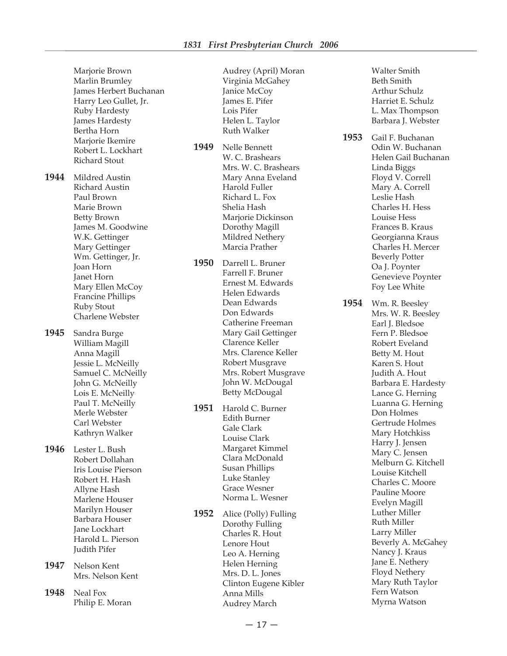Marjorie Brown Marlin Brumley James Herbert Buchanan Harry Leo Gullet, Jr. Ruby Hardesty James Hardesty Bertha Horn Marjorie Ikemire Robert L. Lockhart Richard Stout **1944** Mildred Austin Richard Austin Paul Brown Marie Brown Betty Brown James M. Goodwine W.K. Gettinger Mary Gettinger Wm. Gettinger, Jr. Joan Horn Janet Horn Mary Ellen McCoy Francine Phillips Ruby Stout Charlene Webster **1945** Sandra Burge William Magill Anna Magill Jessie L. McNeilly Samuel C. McNeilly John G. McNeilly Lois E. McNeilly Paul T. McNeilly Merle Webster Carl Webster Kathryn Walker **1946** Lester L. Bush Robert Dollahan Iris Louise Pierson Robert H. Hash Allyne Hash Marlene Houser Marilyn Houser Barbara Houser Jane Lockhart Harold L. Pierson Judith Pifer **1947** Nelson Kent Mrs. Nelson Kent **1948** Neal Fox Philip E. Moran

 Audrey (April) Moran Virginia McGahey Janice McCoy James E. Pifer Lois Pifer Helen L. Taylor Ruth Walker

**1949** Nelle Bennett W. C. Brashears Mrs. W. C. Brashears Mary Anna Eveland Harold Fuller Richard L. Fox Shelia Hash Marjorie Dickinson Dorothy Magill Mildred Nethery Marcia Prather

**1950** Darrell L. Bruner Farrell F. Bruner Ernest M. Edwards Helen Edwards Dean Edwards Don Edwards Catherine Freeman Mary Gail Gettinger Clarence Keller Mrs. Clarence Keller Robert Musgrave Mrs. Robert Musgrave John W. McDougal Betty McDougal

**1951** Harold C. Burner Edith Burner Gale Clark Louise Clark Margaret Kimmel Clara McDonald Susan Phillips Luke Stanley Grace Wesner Norma L. Wesner

**1952** Alice (Polly) Fulling Dorothy Fulling Charles R. Hout Lenore Hout Leo A. Herning Helen Herning Mrs. D. L. Jones Clinton Eugene Kibler Anna Mills Audrey March

 Walter Smith Beth Smith Arthur Schulz Harriet E. Schulz L. Max Thompson Barbara J. Webster

**1953** Gail F. Buchanan Odin W. Buchanan Helen Gail Buchanan Linda Biggs Floyd V. Correll Mary A. Correll Leslie Hash Charles H. Hess Louise Hess Frances B. Kraus Georgianna Kraus Charles H. Mercer Beverly Potter Oa J. Poynter Genevieve Poynter Foy Lee White

**1954** Wm. R. Beesley Mrs. W. R. Beesley Earl J. Bledsoe Fern P. Bledsoe Robert Eveland Betty M. Hout Karen S. Hout Judith A. Hout Barbara E. Hardesty Lance G. Herning Luanna G. Herning Don Holmes Gertrude Holmes Mary Hotchkiss Harry J. Jensen Mary C. Jensen Melburn G. Kitchell Louise Kitchell Charles C. Moore Pauline Moore Evelyn Magill Luther Miller Ruth Miller Larry Miller Beverly A. McGahey Nancy J. Kraus Jane E. Nethery Floyd Nethery Mary Ruth Taylor Fern Watson Myrna Watson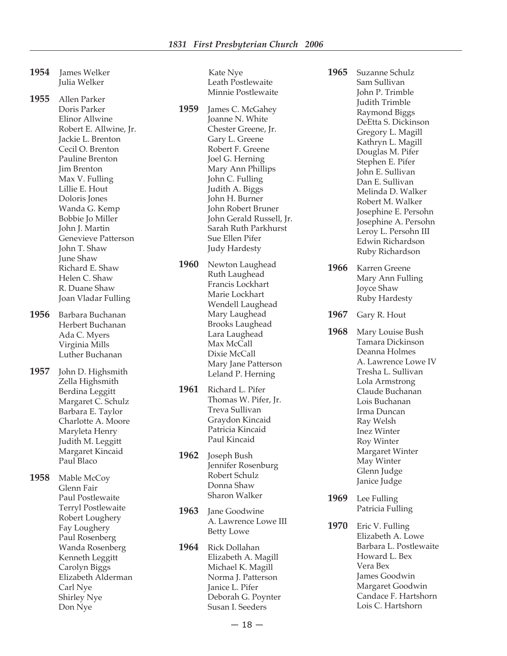- 1954 **James Welker**  Julia Welker
- **1955** Allen Parker Doris Parker Elinor Allwine Robert E. Allwine, Jr. Jackie L. Brenton Cecil O. Brenton Pauline Brenton Jim Brenton Max V. Fulling Lillie E. Hout Doloris Jones Wanda G. Kemp Bobbie Jo Miller John J. Martin Genevieve Patterson John T. Shaw June Shaw Richard E. Shaw Helen C. Shaw R. Duane Shaw Joan Vladar Fulling
- **1956** Barbara Buchanan Herbert Buchanan Ada C. Myers Virginia Mills Luther Buchanan
- **1957** John D. Highsmith Zella Highsmith Berdina Leggitt Margaret C. Schulz Barbara E. Taylor Charlotte A. Moore Maryleta Henry Judith M. Leggitt Margaret Kincaid Paul Blaco
- **1958** Mable McCoy Glenn Fair Paul Postlewaite Terryl Postlewaite Robert Loughery Fay Loughery Paul Rosenberg Wanda Rosenberg Kenneth Leggitt Carolyn Biggs Elizabeth Alderman Carl Nye Shirley Nye Don Nye

 Kate Nye Leath Postlewaite Minnie Postlewaite

- **1959** James C. McGahey Joanne N. White Chester Greene, Jr. Gary L. Greene Robert F. Greene Joel G. Herning Mary Ann Phillips John C. Fulling Judith A. Biggs John H. Burner John Robert Bruner John Gerald Russell, Jr. Sarah Ruth Parkhurst Sue Ellen Pifer Judy Hardesty
- **1960** Newton Laughead Ruth Laughead Francis Lockhart Marie Lockhart Wendell Laughead Mary Laughead Brooks Laughead Lara Laughead Max McCall Dixie McCall Mary Jane Patterson Leland P. Herning
- **1961** Richard L. Pifer Thomas W. Pifer, Jr. Treva Sullivan Graydon Kincaid Patricia Kincaid Paul Kincaid
- **1962** Joseph Bush Jennifer Rosenburg Robert Schulz Donna Shaw Sharon Walker
- **1963** Jane Goodwine A. Lawrence Lowe III Betty Lowe
- **1964** Rick Dollahan Elizabeth A. Magill Michael K. Magill Norma J. Patterson Janice L. Pifer Deborah G. Poynter Susan I. Seeders
- **1965** Suzanne Schulz Sam Sullivan John P. Trimble Judith Trimble Raymond Biggs DeEtta S. Dickinson Gregory L. Magill Kathryn L. Magill Douglas M. Pifer Stephen E. Pifer John E. Sullivan Dan E. Sullivan Melinda D. Walker Robert M. Walker Josephine E. Persohn Josephine A. Persohn Leroy L. Persohn III Edwin Richardson Ruby Richardson
- **1966** Karren Greene Mary Ann Fulling Joyce Shaw Ruby Hardesty
- **1967** Gary R. Hout
- **1968** Mary Louise Bush Tamara Dickinson Deanna Holmes A. Lawrence Lowe IV Tresha L. Sullivan Lola Armstrong Claude Buchanan Lois Buchanan Irma Duncan Ray Welsh Inez Winter Roy Winter Margaret Winter May Winter Glenn Judge Janice Judge
- **1969** Lee Fulling Patricia Fulling
- **1970** Eric V. Fulling Elizabeth A. Lowe Barbara L. Postlewaite Howard L. Bex Vera Bex James Goodwin Margaret Goodwin Candace F. Hartshorn Lois C. Hartshorn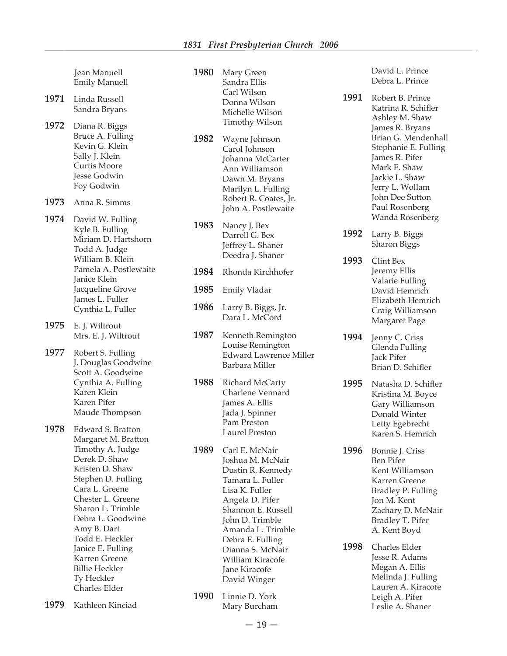**1980** Mary Green

 Sandra Ellis Carl Wilson Donna Wilson Michelle Wilson Timothy Wilson

**1982** Wayne Johnson

 Jean Manuell Emily Manuell

- **1971** Linda Russell Sandra Bryans
- **1972** Diana R. Biggs Bruce A. Fulling Kevin G. Klein Sally J. Klein Curtis Moore Jesse Godwin Foy Godwin
- **1973** Anna R. Simms
- **1974** David W. Fulling Kyle B. Fulling Miriam D. Hartshorn Todd A. Judge William B. Klein Pamela A. Postlewaite Janice Klein Jacqueline Grove James L. Fuller Cynthia L. Fuller
- **1975** E. J. Wiltrout Mrs. E. J. Wiltrout
- **1977** Robert S. Fulling J. Douglas Goodwine Scott A. Goodwine Cynthia A. Fulling Karen Klein Karen Pifer Maude Thompson
- **1978** Edward S. Bratton Margaret M. Bratton Timothy A. Judge Derek D. Shaw Kristen D. Shaw Stephen D. Fulling Cara L. Greene Chester L. Greene Sharon L. Trimble Debra L. Goodwine Amy B. Dart Todd E. Heckler Janice E. Fulling Karren Greene Billie Heckler Ty Heckler Charles Elder

**1979** Kathleen Kinciad

- Carol Johnson Johanna McCarter Ann Williamson Dawn M. Bryans Marilyn L. Fulling Robert R. Coates, Jr. John A. Postlewaite
	- **1983** Nancy J. Bex Darrell G. Bex Jeffrey L. Shaner Deedra J. Shaner
	- **1984** Rhonda Kirchhofer
	- **1985** Emily Vladar
	- **1986** Larry B. Biggs, Jr. Dara L. McCord
	- **1987** Kenneth Remington Louise Remington Edward Lawrence Miller Barbara Miller
	- **1988** Richard McCarty Charlene Vennard James A. Ellis Jada J. Spinner Pam Preston Laurel Preston
	- **1989** Carl E. McNair Joshua M. McNair Dustin R. Kennedy Tamara L. Fuller Lisa K. Fuller Angela D. Pifer Shannon E. Russell John D. Trimble Amanda L. Trimble Debra E. Fulling Dianna S. McNair William Kiracofe Jane Kiracofe David Winger
	- **1990** Linnie D. York Mary Burcham

 David L. Prince Debra L. Prince

**1991** Robert B. Prince Katrina R. Schifler Ashley M. Shaw James R. Bryans Brian G. Mendenhall Stephanie E. Fulling James R. Pifer Mark E. Shaw Jackie L. Shaw Jerry L. Wollam John Dee Sutton Paul Rosenberg Wanda Rosenberg

**1992** Larry B. Biggs Sharon Biggs

- **1993** Clint Bex Jeremy Ellis Valarie Fulling David Hemrich Elizabeth Hemrich Craig Williamson Margaret Page
- **1994** Jenny C. Criss Glenda Fulling Jack Pifer Brian D. Schifler
- **1995** Natasha D. Schifler Kristina M. Boyce Gary Williamson Donald Winter Letty Egebrecht Karen S. Hemrich
- **1996** Bonnie J. Criss Ben Pifer Kent Williamson Karren Greene Bradley P. Fulling Jon M. Kent Zachary D. McNair Bradley T. Pifer A. Kent Boyd
- **1998** Charles Elder Jesse R. Adams Megan A. Ellis Melinda J. Fulling Lauren A. Kiracofe Leigh A. Pifer Leslie A. Shaner